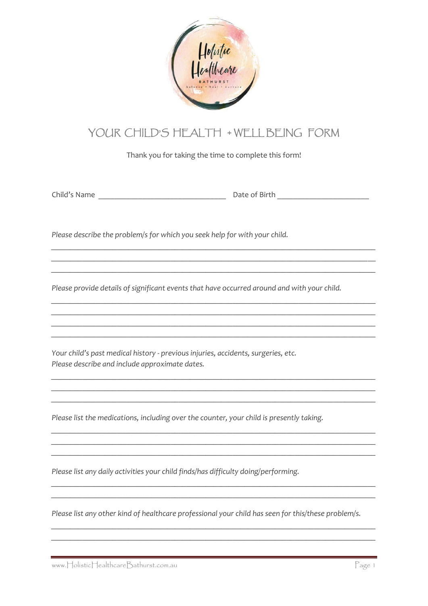

## YOUR CHILD'S HEALTH + WELL BEING FORM

Thank you for taking the time to complete this form!

Please describe the problem/s for which you seek help for with your child.

Please provide details of significant events that have occurred around and with your child.

Your child's past medical history - previous injuries, accidents, surgeries, etc. Please describe and include approximate dates.

Please list the medications, including over the counter, your child is presently taking.

Please list any daily activities your child finds/has difficulty doing/performing.

Please list any other kind of healthcare professional your child has seen for this/these problem/s.

www.HolisticHealthcareBathurst.com.au